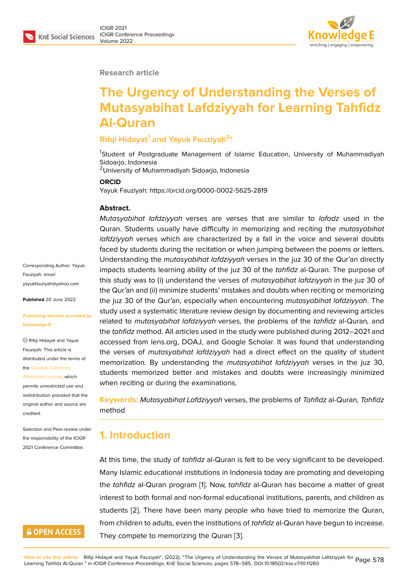#### **Research article**

# **The Urgency of Understanding the Verses of Mutasyabihat Lafdziyyah for Learning Tahfidz Al-Quran**

### **Rifqi Hidayat<sup>1</sup> and Yayuk Fauziyah<sup>2</sup> \***

<sup>1</sup>Student of Postgraduate Management of Islamic Education, University of Muhammadiyah Sidoarjo, Indonesia

<sup>2</sup>University of Muhammadiyah Sidoarjo, Indonesia

#### **ORCID**

Yayuk Fauziyah: https://orcid.org/0000-0002-5625-2819

#### **Abstract.**

*Mutasyabihat lafdziyyah* verses are verses that are similar to *lafadz* used in the Quran. Students usually have difficulty in memorizing and reciting the *mutasyabihat lafdziyyah* verses which are characterized by a fall in the voice and several doubts faced by students during the recitation or when jumping between the poems or letters. Understanding the *mutasyabihat lafdziyyah* verses in the juz 30 of the Qur'an directly impacts students learning ability of the juz 30 of the *tahfidz* al-Quran. The purpose of this study was to (i) understand the verses of *mutasyabihat lafdziyyah* in the juz 30 of the Qur'an and (ii) minimize students' mistakes and doubts when reciting or memorizing the juz 30 of the Qur'an, especially when encountering *mutasyabihat lafdziyyah*. The study used a systematic literature review design by documenting and reviewing articles related to *mutasyabihat lafdziyyah* verses, the problems of the *tahfidz* al-Quran*,* and the *tahfidz* method. All articles used in the study were published during 2012–2021 and accessed from lens.org, DOAJ, and Google Scholar. It was found that understanding the verses of *mutasyabihat lafdziyyah* had a direct effect on the quality of student memorization. By understanding the *mutasyabihat lafdziyyah* verses in the juz 30, students memorized better and mistakes and doubts were increasingly minimized when reciting or during the examinations.

**Keywords:** *Mutasyabihat Lafdziyyah* verses, the problems of *Tahfidz* al-Quran*, Tahfidz* method

### **1. Introduction**

At this time, the study of *tahfidz* al-Quran is felt to be very significant to be developed. Many Islamic educational institutions in Indonesia today are promoting and developing the *tahfidz* al-Quran program [1]. Now, *tahfidz* al-Quran has become a matter of great interest to both formal and non-formal educational institutions, parents, and children as students [2]. There have been many people who have tried to memorize the Quran, from children to adults, even th[e](#page-5-0) institutions of *tahfidz* al-Quran have begun to increase. They compete to memorizing the Quran [3].

Corresponding Author: Yayuk Fauziyah; email: yayukfauziyah@yahoo.com

**Published** 20 June 2022

#### **[Publishing services provid](mailto:yayukfauziyah@yahoo.com)ed by Knowledge E**

Rifqi Hidayat and Yayuk Fauziyah. This article is distributed under the terms of the Creative Commons

Attribution License, which permits unrestricted use and redistribution provided that the orig[inal author and sou](https://creativecommons.org/licenses/by/4.0/)rce are [credited.](https://creativecommons.org/licenses/by/4.0/)

Selection and Peer-review under the responsibility of the ICIGR 2021 Conference Committee.

### **GOPEN ACCESS**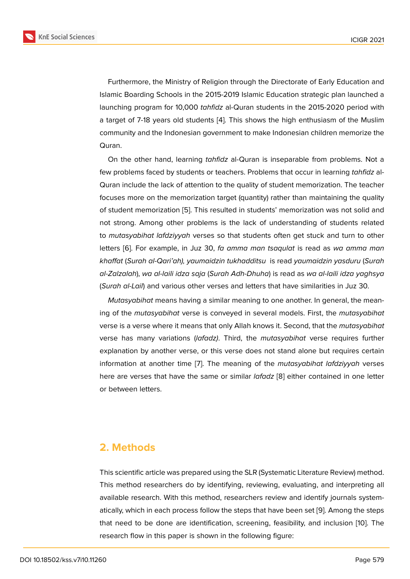Furthermore, the Ministry of Religion through the Directorate of Early Education and Islamic Boarding Schools in the 2015-2019 Islamic Education strategic plan launched a launching program for 10,000 *tahfidz* al-Quran students in the 2015-2020 period with a target of 7-18 years old students [4]. This shows the high enthusiasm of the Muslim community and the Indonesian government to make Indonesian children memorize the Quran.

On the other hand, learning *tahf[id](#page-5-1)z* al-Quran is inseparable from problems. Not a few problems faced by students or teachers. Problems that occur in learning *tahfidz* al-Quran include the lack of attention to the quality of student memorization. The teacher focuses more on the memorization target (quantity) rather than maintaining the quality of student memorization [5]. This resulted in students' memorization was not solid and not strong. Among other problems is the lack of understanding of students related to *mutasyabihat lafdziyyah* verses so that students often get stuck and turn to other letters [6]. For example, i[n](#page-5-2) Juz 30, *fa amma man tsaqulat* is read as *wa amma man khaffat* (*Surah al-Qari'ah), yaumaidzin tukhadditsu* is read *yaumaidzin yasduru* (*Surah al-Zalzalah*), *wa al-laili idza saja* (*Surah Adh-Dhuha*) is read as *wa al-laili idza yaghsya* (*Surah [al-](#page-5-3)Lail*) and various other verses and letters that have similarities in Juz 30.

*Mutasyabihat* means having a similar meaning to one another. In general, the meaning of the *mutasyabihat* verse is conveyed in several models. First, the *mutasyabihat* verse is a verse where it means that only Allah knows it. Second, that the *mutasyabihat* verse has many variations (*lafadz)*. Third, the *mutasyabihat* verse requires further explanation by another verse, or this verse does not stand alone but requires certain information at another time [7]. The meaning of the *mutasyabihat lafdziyyah* verses here are verses that have the same or similar *lafadz* [8] either contained in one letter or between letters.

### **2. Methods**

This scientific article was prepared using the SLR (Systematic Literature Review) method. This method researchers do by identifying, reviewing, evaluating, and interpreting all available research. With this method, researchers review and identify journals systematically, which in each process follow the steps that have been set [9]. Among the steps that need to be done are identification, screening, feasibility, and inclusion [10]. The research flow in this paper is shown in the following figure: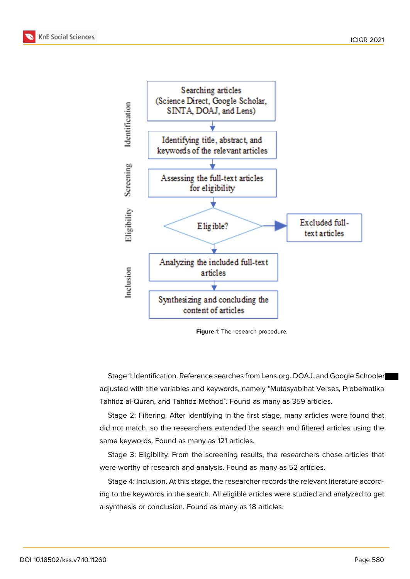



**Figure** 1: The research procedure.

Stage 1: Identification. Reference searches from Lens.org, DOAJ, and Google Schooler adjusted with title variables and keywords, namely "Mutasyabihat Verses, Probematika Tahfidz al-Quran, and Tahfidz Method". Found as many as 359 articles.

Stage 2: Filtering. After identifying in the first stage, many articles were found that did not match, so the researchers extended the search and filtered articles using the same keywords. Found as many as 121 articles.

Stage 3: Eligibility. From the screening results, the researchers chose articles that were worthy of research and analysis. Found as many as 52 articles.

Stage 4: Inclusion. At this stage, the researcher records the relevant literature according to the keywords in the search. All eligible articles were studied and analyzed to get a synthesis or conclusion. Found as many as 18 articles.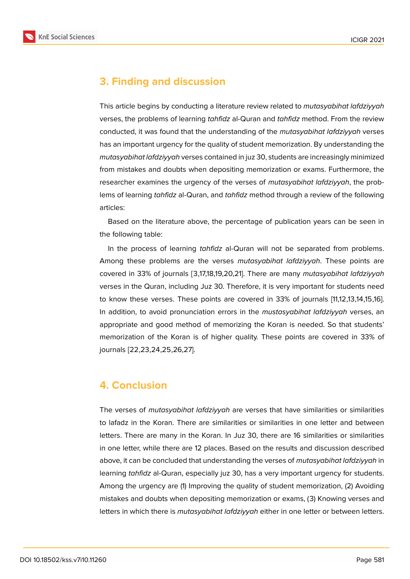



# **3. Finding and discussion**

This article begins by conducting a literature review related to *mutasyabihat lafdziyyah* verses, the problems of learning *tahfidz* al-Quran and *tahfidz* method. From the review conducted, it was found that the understanding of the *mutasyabihat lafdziyyah* verses has an important urgency for the quality of student memorization. By understanding the *mutasyabihat lafdziyyah* verses contained in juz 30, students are increasingly minimized from mistakes and doubts when depositing memorization or exams. Furthermore, the researcher examines the urgency of the verses of *mutasyabihat lafdziyyah*, the problems of learning *tahfidz* al-Quran, and *tahfidz* method through a review of the following articles:

Based on the literature above, the percentage of publication years can be seen in the following table:

In the process of learning *tahfidz* al-Quran will not be separated from problems. Among these problems are the verses *mutasyabihat lafdziyyah*. These points are covered in 33% of journals [3,17,18,19,20,21]. There are many *mutasyabihat lafdziyyah* verses in the Quran, including Juz 30. Therefore, it is very important for students need to know these verses. These points are covered in 33% of journals [11,12,13,14,15,16]. In addition, to avoid pronunciation errors in the *mustasyabihat lafdziyyah* verses, an appropriate and good method of memorizing the Koran is needed. So that students' memorization of the Koran is of higher quality. These points are covered in 33% of journals [22,23,24,25,26,27].

## **4. Conclusion**

The verses of *mutasyabihat lafdziyyah* are verses that have similarities or similarities to lafadz in the Koran. There are similarities or similarities in one letter and between letters. There are many in the Koran. In Juz 30, there are 16 similarities or similarities in one letter, while there are 12 places. Based on the results and discussion described above, it can be concluded that understanding the verses of *mutasyabihat lafdziyyah* in learning *tahfidz* al-Quran, especially juz 30, has a very important urgency for students. Among the urgency are (1) Improving the quality of student memorization, (2) Avoiding mistakes and doubts when depositing memorization or exams, (3) Knowing verses and letters in which there is *mutasyabihat lafdziyyah* either in one letter or between letters.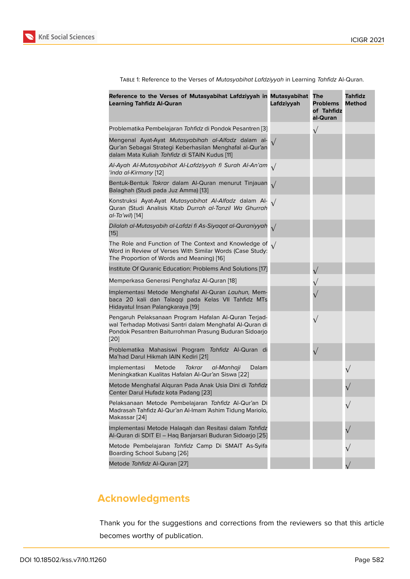Table 1: Reference to the Verses of *Mutasyabihat Lafdziyyah* in Learning *Tahfidz* Al-Quran.

| Reference to the Verses of Mutasyabihat Lafdziyyah in Mutasyabihat<br><b>Learning Tahfidz Al-Quran</b>                                                                                | Lafdziyyah | The<br><b>Problems</b><br>of Tahfidz<br>al-Quran | Tahfidz<br><b>Method</b> |
|---------------------------------------------------------------------------------------------------------------------------------------------------------------------------------------|------------|--------------------------------------------------|--------------------------|
| Problematika Pembelajaran Tahfidz di Pondok Pesantren [3]                                                                                                                             |            | $\sqrt{}$                                        |                          |
| Mengenal Ayat-Ayat Mutasyabihah al-Alfadz dalam al-<br>Qur'an Sebagai Strategi Keberhasilan Menghafal al-Qur'an<br>dalam Mata Kuliah Tahfidz di STAIN Kudus [11]                      |            |                                                  |                          |
| Al-Ayah Al-Mutasyabihat Al-Lafdziyyah fi Surah Al-An'am $\sqrt{ }$<br>'inda al-Kirmany [12]                                                                                           |            |                                                  |                          |
| Bentuk-Bentuk Takrar dalam Al-Quran menurut Tinjauan<br>Balaghah (Studi pada Juz Amma) [13]                                                                                           | $\sqrt{}$  |                                                  |                          |
| Konstruksi Ayat-Ayat Mutasyabihat Al-Alfadz dalam Al-<br>Quran (Studi Analisis Kitab Durrah al-Tanzil Wa Ghurrah<br>al-Ta'wil) [14]                                                   | $\sqrt{ }$ |                                                  |                          |
| Dilalah al-Mutasyabih al-Lafdzi fi As-Siyaqat al-Quraniyyah<br>[15]                                                                                                                   | $\sqrt{ }$ |                                                  |                          |
| The Role and Function of The Context and Knowledge of $\sqrt{}$<br>Word in Review of Verses With Similar Words (Case Study:<br>The Proportion of Words and Meaning) [16]              |            |                                                  |                          |
| Institute Of Quranic Education: Problems And Solutions [17]                                                                                                                           |            | $\sqrt{}$                                        |                          |
| Memperkasa Generasi Penghafaz Al-Quran [18]                                                                                                                                           |            |                                                  |                          |
| Implementasi Metode Menghafal Al-Quran Lauhun, Mem-<br>baca 20 kali dan Talaqqi pada Kelas VII Tahfidz MTs<br>Hidayatul Insan Palangkaraya [19]                                       |            |                                                  |                          |
| Pengaruh Pelaksanaan Program Hafalan Al-Quran Terjad-<br>wal Terhadap Motivasi Santri dalam Menghafal Al-Quran di<br>Pondok Pesantren Baiturrohman Prasung Buduran Sidoarjo<br>$[20]$ |            | $\sqrt{}$                                        |                          |
| Problematika Mahasiswi Program Tahfidz Al-Quran di<br>Ma'had Darul Hikmah IAIN Kediri [21]                                                                                            |            | $\sqrt{}$                                        |                          |
| Implementasi<br>Metode<br>Takrar<br>al-Manhaji<br>Dalam<br>Meningkatkan Kualitas Hafalan Al-Qur'an Siswa [22]                                                                         |            |                                                  |                          |
| Metode Menghafal Alquran Pada Anak Usia Dini di Tahfidz<br>Center Darul Hufadz kota Padang [23]                                                                                       |            |                                                  |                          |
| Pelaksanaan Metode Pembelajaran Tahfidz Al-Qur'an Di<br>Madrasah Tahfidz Al-Qur'an Al-Imam 'Ashim Tidung Mariolo,<br>Makassar [24]                                                    |            |                                                  |                          |
| Implementasi Metode Halaqah dan Resitasi dalam Tahfidz<br>Al-Quran di SDIT El - Haq Banjarsari Buduran Sidoarjo [25]                                                                  |            |                                                  |                          |
| Metode Pembelajaran Tahfidz Camp Di SMAIT As-Syifa<br>Boarding School Subang [26]                                                                                                     |            |                                                  |                          |
| Metode Tahfidz Al-Quran [27]                                                                                                                                                          |            |                                                  |                          |

# **Acknowledgme[nts](#page-7-4)**

Thank you for the suggestions and corrections from the reviewers so that this article becomes worthy of publication.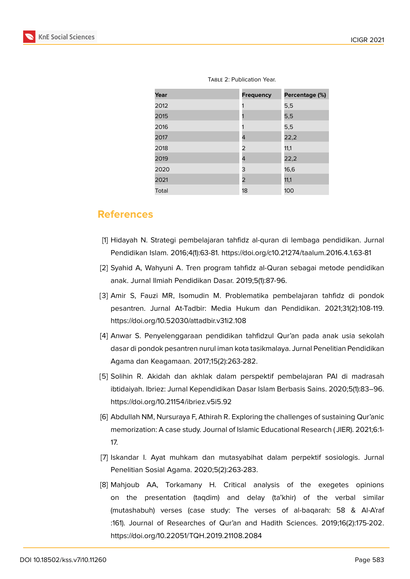| <b>TABLE 2: Publication Year.</b> |                  |                |  |
|-----------------------------------|------------------|----------------|--|
| Year                              | <b>Frequency</b> | Percentage (%) |  |
| 2012                              |                  | 5,5            |  |
| 2015                              |                  | 5,5            |  |
| 2016                              |                  | 5,5            |  |
| 2017                              | 4                | 22,2           |  |
| 2018                              | 2                | 11,1           |  |
| 2019                              | 4                | 22,2           |  |
| 2020                              | 3                | 16,6           |  |
| 2021                              | 2                | 11,1           |  |
| Total                             | 18               | 100            |  |

### **References**

- <span id="page-5-0"></span>[1] Hidayah N. Strategi pembelajaran tahfidz al-quran di lembaga pendidikan. Jurnal Pendidikan Islam. 2016;4(1):63-81. https://doi.org/c10.21274/taalum.2016.4.1.63-81
- [2] Syahid A, Wahyuni A. Tren program tahfidz al-Quran sebagai metode pendidikan anak. Jurnal Ilmiah Pendidikan Dasar. 2019;5(1):87-96.
- <span id="page-5-4"></span>[3] Amir S, Fauzi MR, Isomudin M. Problematika pembelajaran tahfidz di pondok pesantren. Jurnal At-Tadbir: Media Hukum dan Pendidikan. 2021;31(2):108-119. https://doi.org/10.52030/attadbir.v31i2.108
- <span id="page-5-1"></span>[4] Anwar S. Penyelenggaraan pendidikan tahfidzul Qur'an pada anak usia sekolah dasar di pondok pesantren nurul iman kota tasikmalaya. Jurnal Penelitian Pendidikan Agama dan Keagamaan. 2017;15(2):263-282.
- <span id="page-5-2"></span>[5] Solihin R. Akidah dan akhlak dalam perspektif pembelajaran PAI di madrasah ibtidaiyah. Ibriez: Jurnal Kependidikan Dasar Islam Berbasis Sains. 2020;5(1):83–96. https://doi.org/10.21154/ibriez.v5i5.92
- <span id="page-5-3"></span>[6] Abdullah NM, Nursuraya F, Athirah R. Exploring the challenges of sustaining Qur'anic memorization: A case study. Journal of Islamic Educational Research ( JIER). 2021;6:1- 17.
- [7] Iskandar I. Ayat muhkam dan mutasyabihat dalam perpektif sosiologis. Jurnal Penelitian Sosial Agama. 2020;5(2):263-283.
- [8] Mahjoub AA, Torkamany H. Critical analysis of the exegetes opinions on the presentation (taqdim) and delay (ta'khir) of the verbal similar (mutashabuh) verses (case study: The verses of al-baqarah: 58 & Al-A'raf :161). Journal of Researches of Qur'an and Hadith Sciences. 2019;16(2):175-202. https://doi.org/10.22051/TQH.2019.21108.2084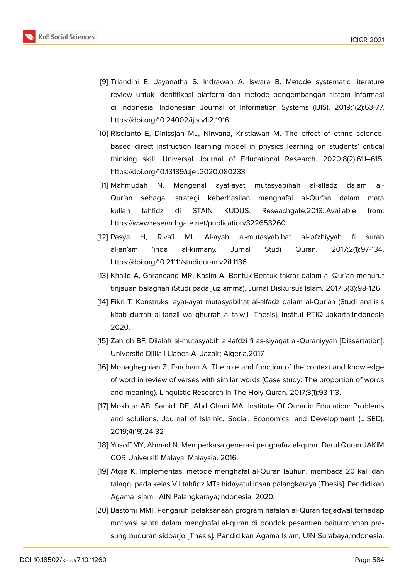

- [9] Triandini E, Jayanatha S, Indrawan A, Iswara B. Metode systematic literature review untuk identifikasi platform dan metode pengembangan sistem informasi di indonesia. Indonesian Journal of Information Systems (IJIS). 2019;1(2):63-77. https://doi.org/10.24002/ijis.v1i2.1916
- <span id="page-6-0"></span>[10] Risdianto E, Dinissjah MJ, Nirwana, Kristiawan M. The effect of ethno sciencebased direct instruction learning model in physics learning on students' critical thinking skill. Universal Journal of Educational Research. 2020;8(2):611–615. https://doi.org/10.13189/ujer.2020.080233
- <span id="page-6-1"></span>[11] Mahmudah N. Mengenal ayat-ayat mutasyabihah al-alfadz dalam al-Qur'an sebagai strategi keberhasilan menghafal al-Qur'an dalam mata kuliah tahfidz di STAIN KUDUS. Reseachgate.2018..Available from: https://www.researchgate.net/publication/322653260
- <span id="page-6-2"></span>[12] Pasya H, Riva'I MI. Al-ayah al-mutasyabihat al-lafzhiyyah fi surah al-an'am 'inda al-kirmany. Jurnal Studi Quran. 2017;2(1):97-134. https://doi.org/10.21111/studiquran.v2i1.1136
- <span id="page-6-3"></span>[13] Khalid A, Garancang MR, Kasim A. Bentuk-Bentuk takrar dalam al-Qur'an menurut tinjauan balaghah (Studi pada juz amma). Jurnal Diskursus Islam. 2017;5(3):98-126.
- <span id="page-6-4"></span>[14] Fikri T. Konstruksi ayat-ayat mutasyabihat al-alfadz dalam al-Qur'an (Studi analisis kitab durrah al-tanzil wa ghurrah al-ta'wil [Thesis]. Institut PTIQ Jakarta;Indonesia 2020.
- <span id="page-6-5"></span>[15] Zahroh BF. Dilalah al-mutasyabih al-lafdzi fi as-siyaqat al-Quraniyyah [Dissertation]. Universite Djillali Liabes Al-Jazair; Algeria.2017.
- <span id="page-6-6"></span>[16] Mohagheghian Z, Parcham A. The role and function of the context and knowledge of word in review of verses with similar words (Case study: The proportion of words and meaning). Linguistic Research in The Holy Quran. 2017;3(1):93-113.
- <span id="page-6-7"></span>[17] Mokhtar AB, Samidi DE, Abd Ghani MA. Institute Of Quranic Education: Problems and solutions. Journal of Islamic, Social, Economics, and Development ( JISED). 2019;4(19).24-32
- <span id="page-6-8"></span>[18] Yusoff MY, Ahmad N. Memperkasa generasi penghafaz al-quran Darul Quran JAKIM CQR Universiti Malaya. Malaysia. 2016.
- [19] Atqia K. Implementasi metode menghafal al-Quran lauhun, membaca 20 kali dan talaqqi pada kelas VII tahfidz MTs hidayatul insan palangkaraya [Thesis]. Pendidikan Agama Islam, IAIN Palangkaraya;Indonesia. 2020.
- <span id="page-6-9"></span>[20] Bastomi MMI. Pengaruh pelaksanaan program hafalan al-Quran terjadwal terhadap motivasi santri dalam menghafal al-quran di pondok pesantren baiturrohman prasung buduran sidoarjo [Thesis]. Pendidikan Agama Islam, UIN Surabaya;Indonesia.